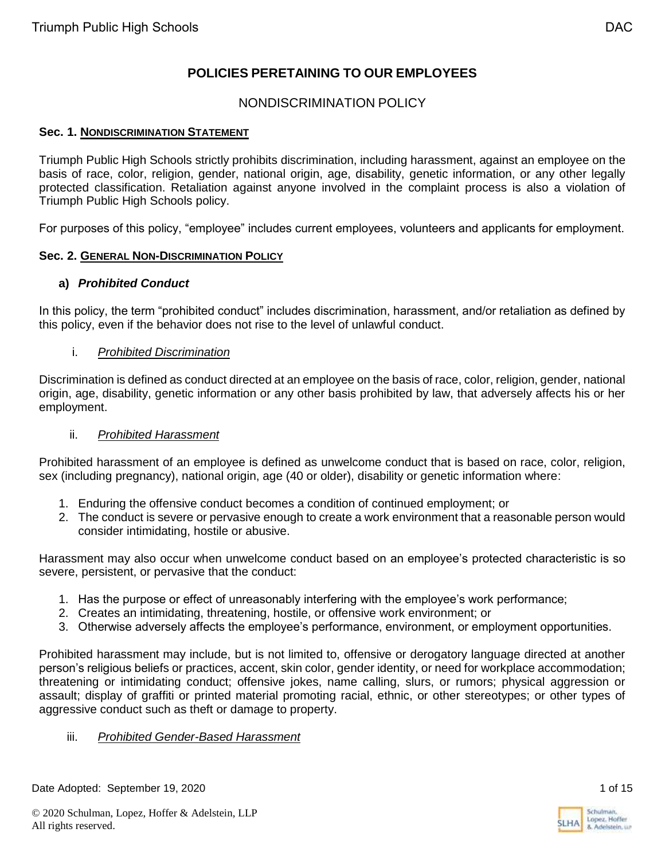# **POLICIES PERETAINING TO OUR EMPLOYEES**

## NONDISCRIMINATION POLICY

#### **Sec. 1. NONDISCRIMINATION STATEMENT**

Triumph Public High Schools strictly prohibits discrimination, including harassment, against an employee on the basis of race, color, religion, gender, national origin, age, disability, genetic information, or any other legally protected classification. Retaliation against anyone involved in the complaint process is also a violation of Triumph Public High Schools policy.

For purposes of this policy, "employee" includes current employees, volunteers and applicants for employment.

#### **Sec. 2. GENERAL NON-DISCRIMINATION POLICY**

#### **a)** *Prohibited Conduct*

In this policy, the term "prohibited conduct" includes discrimination, harassment, and/or retaliation as defined by this policy, even if the behavior does not rise to the level of unlawful conduct.

#### i. *Prohibited Discrimination*

Discrimination is defined as conduct directed at an employee on the basis of race, color, religion, gender, national origin, age, disability, genetic information or any other basis prohibited by law, that adversely affects his or her employment.

#### ii. *Prohibited Harassment*

Prohibited harassment of an employee is defined as unwelcome conduct that is based on race, color, religion, sex (including pregnancy), national origin, age (40 or older), disability or genetic information where:

- 1. Enduring the offensive conduct becomes a condition of continued employment; or
- 2. The conduct is severe or pervasive enough to create a work environment that a reasonable person would consider intimidating, hostile or abusive.

Harassment may also occur when unwelcome conduct based on an employee's protected characteristic is so severe, persistent, or pervasive that the conduct:

- 1. Has the purpose or effect of unreasonably interfering with the employee's work performance;
- 2. Creates an intimidating, threatening, hostile, or offensive work environment; or
- 3. Otherwise adversely affects the employee's performance, environment, or employment opportunities.

Prohibited harassment may include, but is not limited to, offensive or derogatory language directed at another person's religious beliefs or practices, accent, skin color, gender identity, or need for workplace accommodation; threatening or intimidating conduct; offensive jokes, name calling, slurs, or rumors; physical aggression or assault; display of graffiti or printed material promoting racial, ethnic, or other stereotypes; or other types of aggressive conduct such as theft or damage to property.

#### iii. *Prohibited Gender-Based Harassment*

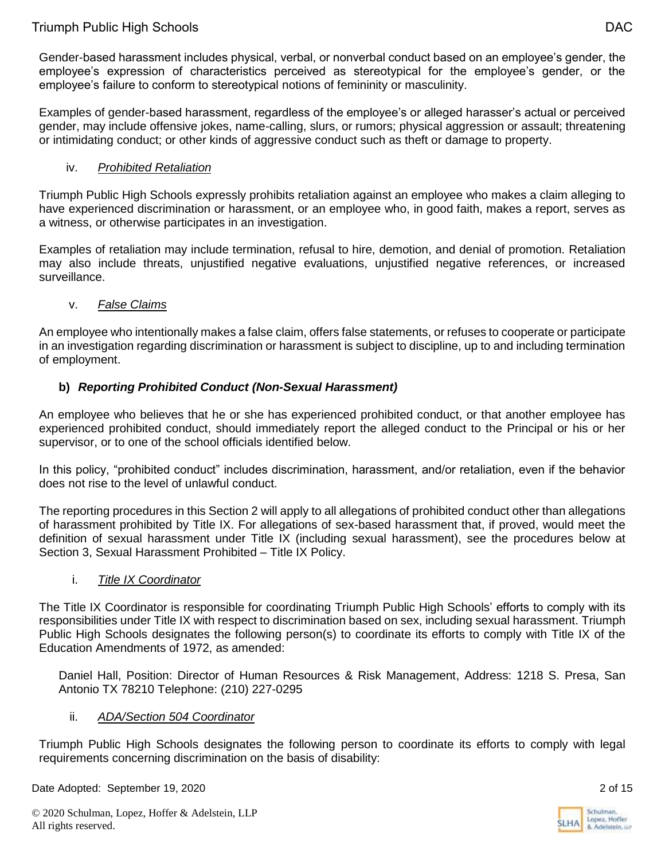Gender-based harassment includes physical, verbal, or nonverbal conduct based on an employee's gender, the employee's expression of characteristics perceived as stereotypical for the employee's gender, or the employee's failure to conform to stereotypical notions of femininity or masculinity.

Examples of gender-based harassment, regardless of the employee's or alleged harasser's actual or perceived gender, may include offensive jokes, name-calling, slurs, or rumors; physical aggression or assault; threatening or intimidating conduct; or other kinds of aggressive conduct such as theft or damage to property.

### iv. *Prohibited Retaliation*

Triumph Public High Schools expressly prohibits retaliation against an employee who makes a claim alleging to have experienced discrimination or harassment, or an employee who, in good faith, makes a report, serves as a witness, or otherwise participates in an investigation.

Examples of retaliation may include termination, refusal to hire, demotion, and denial of promotion. Retaliation may also include threats, unjustified negative evaluations, unjustified negative references, or increased surveillance.

### v. *False Claims*

An employee who intentionally makes a false claim, offers false statements, or refuses to cooperate or participate in an investigation regarding discrimination or harassment is subject to discipline, up to and including termination of employment.

## **b)** *Reporting Prohibited Conduct (Non-Sexual Harassment)*

An employee who believes that he or she has experienced prohibited conduct, or that another employee has experienced prohibited conduct, should immediately report the alleged conduct to the Principal or his or her supervisor, or to one of the school officials identified below.

In this policy, "prohibited conduct" includes discrimination, harassment, and/or retaliation, even if the behavior does not rise to the level of unlawful conduct.

The reporting procedures in this Section 2 will apply to all allegations of prohibited conduct other than allegations of harassment prohibited by Title IX. For allegations of sex-based harassment that, if proved, would meet the definition of sexual harassment under Title IX (including sexual harassment), see the procedures below at Section 3, Sexual Harassment Prohibited – Title IX Policy.

### i. *Title IX Coordinator*

The Title IX Coordinator is responsible for coordinating Triumph Public High Schools' efforts to comply with its responsibilities under Title IX with respect to discrimination based on sex, including sexual harassment. Triumph Public High Schools designates the following person(s) to coordinate its efforts to comply with Title IX of the Education Amendments of 1972, as amended:

Daniel Hall, Position: Director of Human Resources & Risk Management, Address: 1218 S. Presa, San Antonio TX 78210 Telephone: (210) 227-0295

### ii. *ADA/Section 504 Coordinator*

Triumph Public High Schools designates the following person to coordinate its efforts to comply with legal requirements concerning discrimination on the basis of disability:

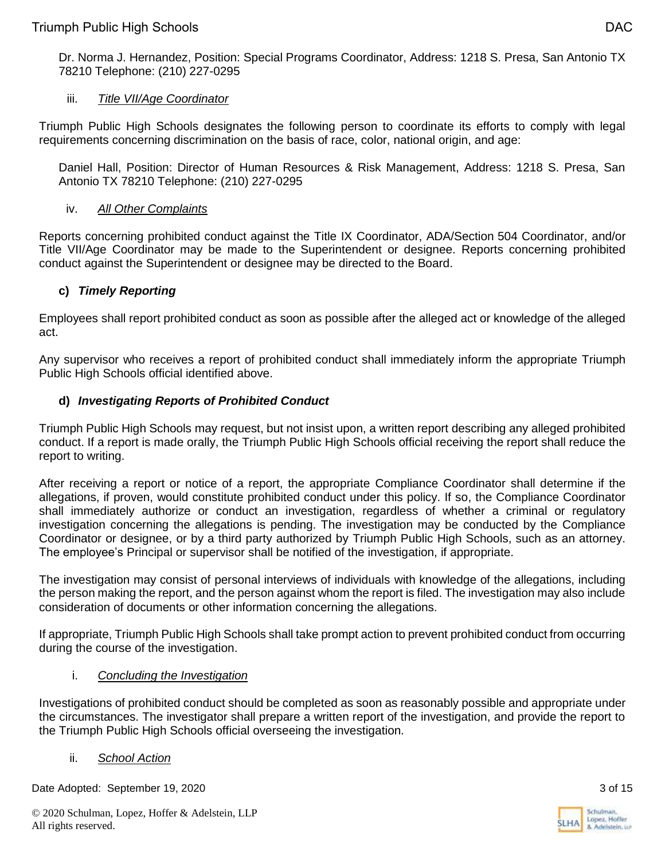Dr. Norma J. Hernandez, Position: Special Programs Coordinator, Address: 1218 S. Presa, San Antonio TX 78210 Telephone: (210) 227-0295

## iii. *Title VII/Age Coordinator*

Triumph Public High Schools designates the following person to coordinate its efforts to comply with legal requirements concerning discrimination on the basis of race, color, national origin, and age:

Daniel Hall, Position: Director of Human Resources & Risk Management, Address: 1218 S. Presa, San Antonio TX 78210 Telephone: (210) 227-0295

### iv. *All Other Complaints*

Reports concerning prohibited conduct against the Title IX Coordinator, ADA/Section 504 Coordinator, and/or Title VII/Age Coordinator may be made to the Superintendent or designee. Reports concerning prohibited conduct against the Superintendent or designee may be directed to the Board.

## **c)** *Timely Reporting*

Employees shall report prohibited conduct as soon as possible after the alleged act or knowledge of the alleged act.

Any supervisor who receives a report of prohibited conduct shall immediately inform the appropriate Triumph Public High Schools official identified above.

### **d)** *Investigating Reports of Prohibited Conduct*

Triumph Public High Schools may request, but not insist upon, a written report describing any alleged prohibited conduct. If a report is made orally, the Triumph Public High Schools official receiving the report shall reduce the report to writing.

After receiving a report or notice of a report, the appropriate Compliance Coordinator shall determine if the allegations, if proven, would constitute prohibited conduct under this policy. If so, the Compliance Coordinator shall immediately authorize or conduct an investigation, regardless of whether a criminal or regulatory investigation concerning the allegations is pending. The investigation may be conducted by the Compliance Coordinator or designee, or by a third party authorized by Triumph Public High Schools, such as an attorney. The employee's Principal or supervisor shall be notified of the investigation, if appropriate.

The investigation may consist of personal interviews of individuals with knowledge of the allegations, including the person making the report, and the person against whom the report is filed. The investigation may also include consideration of documents or other information concerning the allegations.

If appropriate, Triumph Public High Schools shall take prompt action to prevent prohibited conduct from occurring during the course of the investigation.

### i. *Concluding the Investigation*

Investigations of prohibited conduct should be completed as soon as reasonably possible and appropriate under the circumstances. The investigator shall prepare a written report of the investigation, and provide the report to the Triumph Public High Schools official overseeing the investigation.

### ii. *School Action*

Date Adopted: September 19, 2020 3 of 15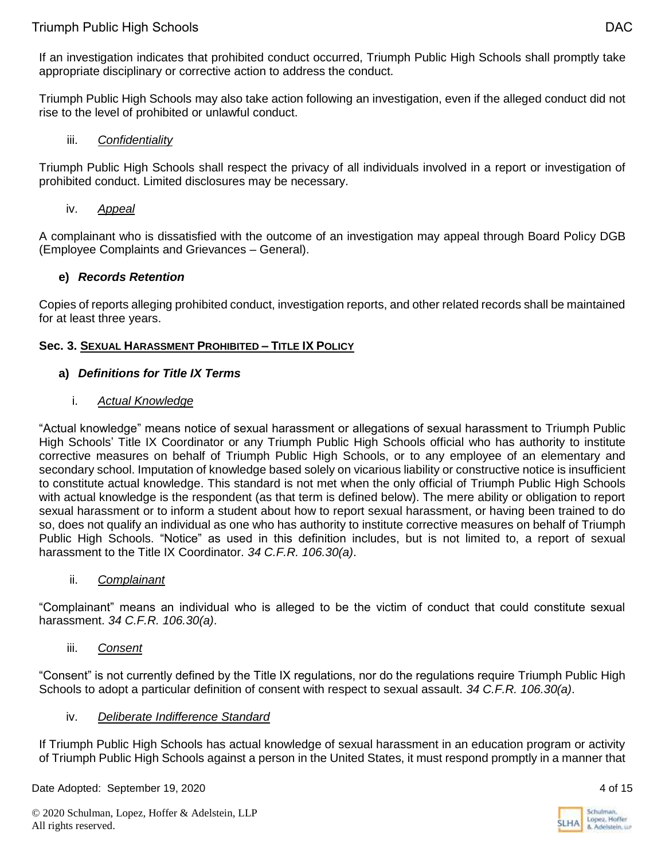If an investigation indicates that prohibited conduct occurred, Triumph Public High Schools shall promptly take appropriate disciplinary or corrective action to address the conduct.

Triumph Public High Schools may also take action following an investigation, even if the alleged conduct did not rise to the level of prohibited or unlawful conduct.

### iii. *Confidentiality*

Triumph Public High Schools shall respect the privacy of all individuals involved in a report or investigation of prohibited conduct. Limited disclosures may be necessary.

### iv. *Appeal*

A complainant who is dissatisfied with the outcome of an investigation may appeal through Board Policy DGB (Employee Complaints and Grievances – General).

### **e)** *Records Retention*

Copies of reports alleging prohibited conduct, investigation reports, and other related records shall be maintained for at least three years.

### **Sec. 3. SEXUAL HARASSMENT PROHIBITED – TITLE IX POLICY**

### **a)** *Definitions for Title IX Terms*

### i. *Actual Knowledge*

"Actual knowledge" means notice of sexual harassment or allegations of sexual harassment to Triumph Public High Schools' Title IX Coordinator or any Triumph Public High Schools official who has authority to institute corrective measures on behalf of Triumph Public High Schools, or to any employee of an elementary and secondary school. Imputation of knowledge based solely on vicarious liability or constructive notice is insufficient to constitute actual knowledge. This standard is not met when the only official of Triumph Public High Schools with actual knowledge is the respondent (as that term is defined below). The mere ability or obligation to report sexual harassment or to inform a student about how to report sexual harassment, or having been trained to do so, does not qualify an individual as one who has authority to institute corrective measures on behalf of Triumph Public High Schools. "Notice" as used in this definition includes, but is not limited to, a report of sexual harassment to the Title IX Coordinator. *34 C.F.R. 106.30(a)*.

### ii. *Complainant*

"Complainant" means an individual who is alleged to be the victim of conduct that could constitute sexual harassment. *34 C.F.R. 106.30(a)*.

### iii. *Consent*

"Consent" is not currently defined by the Title IX regulations, nor do the regulations require Triumph Public High Schools to adopt a particular definition of consent with respect to sexual assault. *34 C.F.R. 106.30(a)*.

### iv. *Deliberate Indifference Standard*

If Triumph Public High Schools has actual knowledge of sexual harassment in an education program or activity of Triumph Public High Schools against a person in the United States, it must respond promptly in a manner that

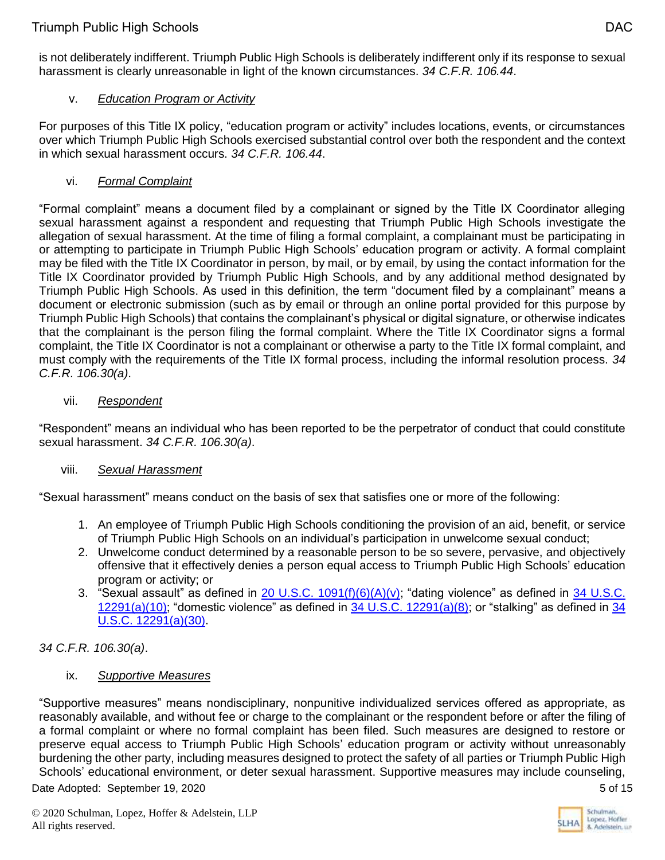is not deliberately indifferent. Triumph Public High Schools is deliberately indifferent only if its response to sexual harassment is clearly unreasonable in light of the known circumstances. *34 C.F.R. 106.44*.

## v. *Education Program or Activity*

For purposes of this Title IX policy, "education program or activity" includes locations, events, or circumstances over which Triumph Public High Schools exercised substantial control over both the respondent and the context in which sexual harassment occurs. *34 C.F.R. 106.44*.

## vi. *Formal Complaint*

"Formal complaint" means a document filed by a complainant or signed by the Title IX Coordinator alleging sexual harassment against a respondent and requesting that Triumph Public High Schools investigate the allegation of sexual harassment. At the time of filing a formal complaint, a complainant must be participating in or attempting to participate in Triumph Public High Schools' education program or activity. A formal complaint may be filed with the Title IX Coordinator in person, by mail, or by email, by using the contact information for the Title IX Coordinator provided by Triumph Public High Schools, and by any additional method designated by Triumph Public High Schools. As used in this definition, the term "document filed by a complainant" means a document or electronic submission (such as by email or through an online portal provided for this purpose by Triumph Public High Schools) that contains the complainant's physical or digital signature, or otherwise indicates that the complainant is the person filing the formal complaint. Where the Title IX Coordinator signs a formal complaint, the Title IX Coordinator is not a complainant or otherwise a party to the Title IX formal complaint, and must comply with the requirements of the Title IX formal process, including the informal resolution process. *34 C.F.R. 106.30(a)*.

## vii. *Respondent*

"Respondent" means an individual who has been reported to be the perpetrator of conduct that could constitute sexual harassment. *34 C.F.R. 106.30(a)*.

## viii. *Sexual Harassment*

"Sexual harassment" means conduct on the basis of sex that satisfies one or more of the following:

- 1. An employee of Triumph Public High Schools conditioning the provision of an aid, benefit, or service of Triumph Public High Schools on an individual's participation in unwelcome sexual conduct;
- 2. Unwelcome conduct determined by a reasonable person to be so severe, pervasive, and objectively offensive that it effectively denies a person equal access to Triumph Public High Schools' education program or activity; or
- 3. "Sexual assault" as defined in [20 U.S.C. 1091\(f\)\(6\)\(A\)\(v\);](https://www.govinfo.gov/content/pkg/USCODE-2018-title20/html/USCODE-2018-title20-chap28-subchapIV-partG-sec1092.htm) "dating violence" as defined in 34 U.S.C.  $12291(a)(10)$ ; "domestic violence" as defined in [34 U.S.C. 12291\(a\)\(8\);](https://www.govinfo.gov/content/pkg/USCODE-2018-title34/html/USCODE-2018-title34-subtitleI-chap121-subchapIII-sec12291.htm) or "stalking" as defined in 34 [U.S.C. 12291\(a\)\(30\).](https://www.govinfo.gov/content/pkg/USCODE-2018-title34/html/USCODE-2018-title34-subtitleI-chap121-subchapIII-sec12291.htm)

## *34 C.F.R. 106.30(a)*.

## ix. *Supportive Measures*

Date Adopted: September 19, 2020 5 of 15 "Supportive measures" means nondisciplinary, nonpunitive individualized services offered as appropriate, as reasonably available, and without fee or charge to the complainant or the respondent before or after the filing of a formal complaint or where no formal complaint has been filed. Such measures are designed to restore or preserve equal access to Triumph Public High Schools' education program or activity without unreasonably burdening the other party, including measures designed to protect the safety of all parties or Triumph Public High Schools' educational environment, or deter sexual harassment. Supportive measures may include counseling,

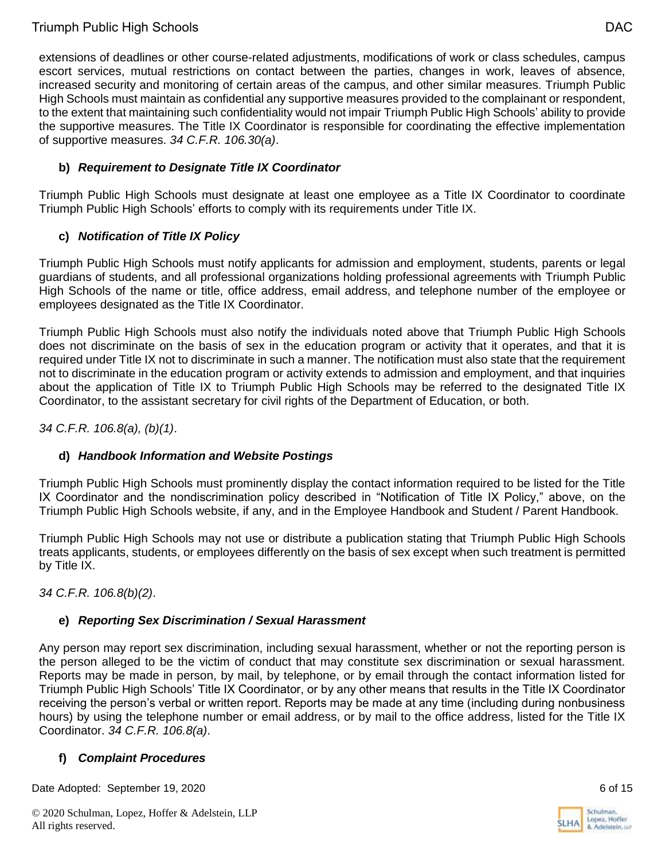extensions of deadlines or other course-related adjustments, modifications of work or class schedules, campus escort services, mutual restrictions on contact between the parties, changes in work, leaves of absence, increased security and monitoring of certain areas of the campus, and other similar measures. Triumph Public High Schools must maintain as confidential any supportive measures provided to the complainant or respondent, to the extent that maintaining such confidentiality would not impair Triumph Public High Schools' ability to provide the supportive measures. The Title IX Coordinator is responsible for coordinating the effective implementation of supportive measures. *34 C.F.R. 106.30(a)*.

## **b)** *Requirement to Designate Title IX Coordinator*

Triumph Public High Schools must designate at least one employee as a Title IX Coordinator to coordinate Triumph Public High Schools' efforts to comply with its requirements under Title IX.

## **c)** *Notification of Title IX Policy*

Triumph Public High Schools must notify applicants for admission and employment, students, parents or legal guardians of students, and all professional organizations holding professional agreements with Triumph Public High Schools of the name or title, office address, email address, and telephone number of the employee or employees designated as the Title IX Coordinator.

Triumph Public High Schools must also notify the individuals noted above that Triumph Public High Schools does not discriminate on the basis of sex in the education program or activity that it operates, and that it is required under Title IX not to discriminate in such a manner. The notification must also state that the requirement not to discriminate in the education program or activity extends to admission and employment, and that inquiries about the application of Title IX to Triumph Public High Schools may be referred to the designated Title IX Coordinator, to the assistant secretary for civil rights of the Department of Education, or both.

*34 C.F.R. 106.8(a), (b)(1)*.

## **d)** *Handbook Information and Website Postings*

Triumph Public High Schools must prominently display the contact information required to be listed for the Title IX Coordinator and the nondiscrimination policy described in "Notification of Title IX Policy," above, on the Triumph Public High Schools website, if any, and in the Employee Handbook and Student / Parent Handbook.

Triumph Public High Schools may not use or distribute a publication stating that Triumph Public High Schools treats applicants, students, or employees differently on the basis of sex except when such treatment is permitted by Title IX.

*34 C.F.R. 106.8(b)(2)*.

## **e)** *Reporting Sex Discrimination / Sexual Harassment*

Any person may report sex discrimination, including sexual harassment, whether or not the reporting person is the person alleged to be the victim of conduct that may constitute sex discrimination or sexual harassment. Reports may be made in person, by mail, by telephone, or by email through the contact information listed for Triumph Public High Schools' Title IX Coordinator, or by any other means that results in the Title IX Coordinator receiving the person's verbal or written report. Reports may be made at any time (including during nonbusiness hours) by using the telephone number or email address, or by mail to the office address, listed for the Title IX Coordinator. *34 C.F.R. 106.8(a)*.

## **f)** *Complaint Procedures*

Date Adopted: September 19, 2020 **6 of 15** of 15

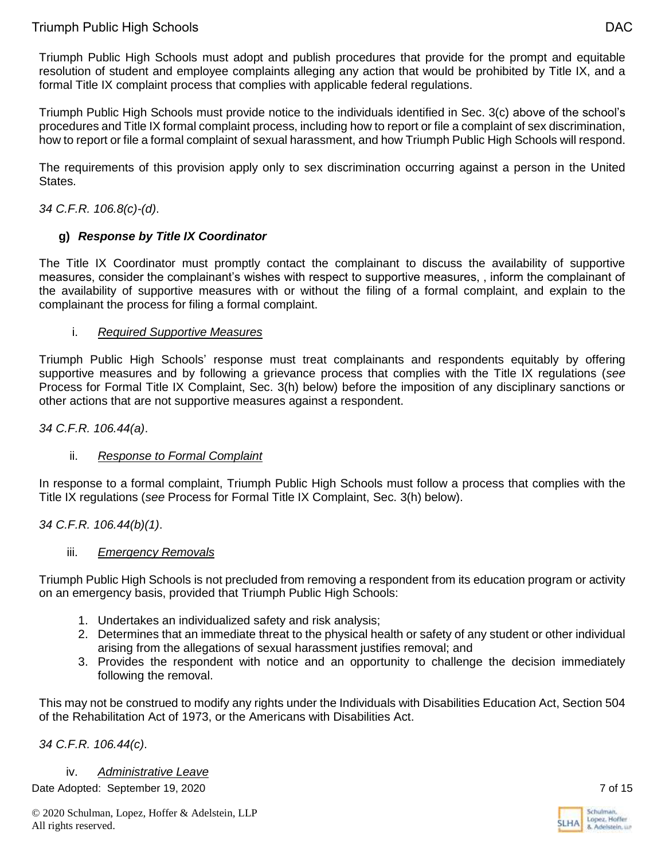Triumph Public High Schools must adopt and publish procedures that provide for the prompt and equitable resolution of student and employee complaints alleging any action that would be prohibited by Title IX, and a formal Title IX complaint process that complies with applicable federal regulations.

Triumph Public High Schools must provide notice to the individuals identified in Sec. 3(c) above of the school's procedures and Title IX formal complaint process, including how to report or file a complaint of sex discrimination, how to report or file a formal complaint of sexual harassment, and how Triumph Public High Schools will respond.

The requirements of this provision apply only to sex discrimination occurring against a person in the United States.

### *34 C.F.R. 106.8(c)-(d)*.

## **g)** *Response by Title IX Coordinator*

The Title IX Coordinator must promptly contact the complainant to discuss the availability of supportive measures, consider the complainant's wishes with respect to supportive measures, , inform the complainant of the availability of supportive measures with or without the filing of a formal complaint, and explain to the complainant the process for filing a formal complaint.

### i. *Required Supportive Measures*

Triumph Public High Schools' response must treat complainants and respondents equitably by offering supportive measures and by following a grievance process that complies with the Title IX regulations (*see* Process for Formal Title IX Complaint, Sec. 3(h) below) before the imposition of any disciplinary sanctions or other actions that are not supportive measures against a respondent.

*34 C.F.R. 106.44(a)*.

## ii. *Response to Formal Complaint*

In response to a formal complaint, Triumph Public High Schools must follow a process that complies with the Title IX regulations (*see* Process for Formal Title IX Complaint, Sec. 3(h) below).

*34 C.F.R. 106.44(b)(1)*.

## iii. *Emergency Removals*

Triumph Public High Schools is not precluded from removing a respondent from its education program or activity on an emergency basis, provided that Triumph Public High Schools:

- 1. Undertakes an individualized safety and risk analysis;
- 2. Determines that an immediate threat to the physical health or safety of any student or other individual arising from the allegations of sexual harassment justifies removal; and
- 3. Provides the respondent with notice and an opportunity to challenge the decision immediately following the removal.

This may not be construed to modify any rights under the Individuals with Disabilities Education Act, Section 504 of the Rehabilitation Act of 1973, or the Americans with Disabilities Act.

*34 C.F.R. 106.44(c)*.

Date Adopted: September 19, 2020 7 of 15 iv. *Administrative Leave*

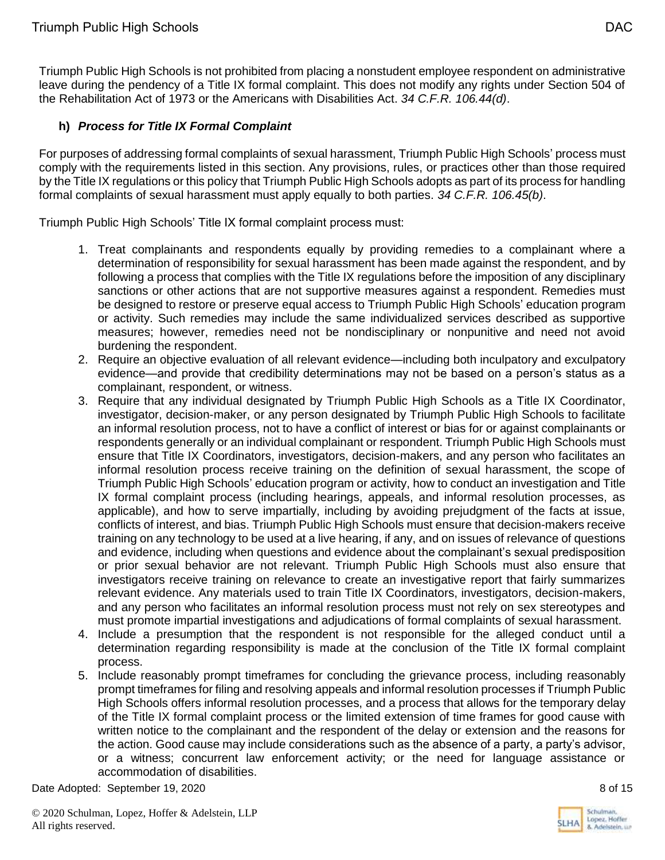Triumph Public High Schools is not prohibited from placing a nonstudent employee respondent on administrative leave during the pendency of a Title IX formal complaint. This does not modify any rights under Section 504 of the Rehabilitation Act of 1973 or the Americans with Disabilities Act. *34 C.F.R. 106.44(d)*.

## **h)** *Process for Title IX Formal Complaint*

For purposes of addressing formal complaints of sexual harassment, Triumph Public High Schools' process must comply with the requirements listed in this section. Any provisions, rules, or practices other than those required by the Title IX regulations or this policy that Triumph Public High Schools adopts as part of its process for handling formal complaints of sexual harassment must apply equally to both parties. *34 C.F.R. 106.45(b)*.

Triumph Public High Schools' Title IX formal complaint process must:

- 1. Treat complainants and respondents equally by providing remedies to a complainant where a determination of responsibility for sexual harassment has been made against the respondent, and by following a process that complies with the Title IX regulations before the imposition of any disciplinary sanctions or other actions that are not supportive measures against a respondent. Remedies must be designed to restore or preserve equal access to Triumph Public High Schools' education program or activity. Such remedies may include the same individualized services described as supportive measures; however, remedies need not be nondisciplinary or nonpunitive and need not avoid burdening the respondent.
- 2. Require an objective evaluation of all relevant evidence—including both inculpatory and exculpatory evidence—and provide that credibility determinations may not be based on a person's status as a complainant, respondent, or witness.
- 3. Require that any individual designated by Triumph Public High Schools as a Title IX Coordinator, investigator, decision-maker, or any person designated by Triumph Public High Schools to facilitate an informal resolution process, not to have a conflict of interest or bias for or against complainants or respondents generally or an individual complainant or respondent. Triumph Public High Schools must ensure that Title IX Coordinators, investigators, decision-makers, and any person who facilitates an informal resolution process receive training on the definition of sexual harassment, the scope of Triumph Public High Schools' education program or activity, how to conduct an investigation and Title IX formal complaint process (including hearings, appeals, and informal resolution processes, as applicable), and how to serve impartially, including by avoiding prejudgment of the facts at issue, conflicts of interest, and bias. Triumph Public High Schools must ensure that decision-makers receive training on any technology to be used at a live hearing, if any, and on issues of relevance of questions and evidence, including when questions and evidence about the complainant's sexual predisposition or prior sexual behavior are not relevant. Triumph Public High Schools must also ensure that investigators receive training on relevance to create an investigative report that fairly summarizes relevant evidence. Any materials used to train Title IX Coordinators, investigators, decision-makers, and any person who facilitates an informal resolution process must not rely on sex stereotypes and must promote impartial investigations and adjudications of formal complaints of sexual harassment.
- 4. Include a presumption that the respondent is not responsible for the alleged conduct until a determination regarding responsibility is made at the conclusion of the Title IX formal complaint process.
- 5. Include reasonably prompt timeframes for concluding the grievance process, including reasonably prompt timeframes for filing and resolving appeals and informal resolution processes if Triumph Public High Schools offers informal resolution processes, and a process that allows for the temporary delay of the Title IX formal complaint process or the limited extension of time frames for good cause with written notice to the complainant and the respondent of the delay or extension and the reasons for the action. Good cause may include considerations such as the absence of a party, a party's advisor, or a witness; concurrent law enforcement activity; or the need for language assistance or accommodation of disabilities.

Date Adopted: September 19, 2020 8 of 15

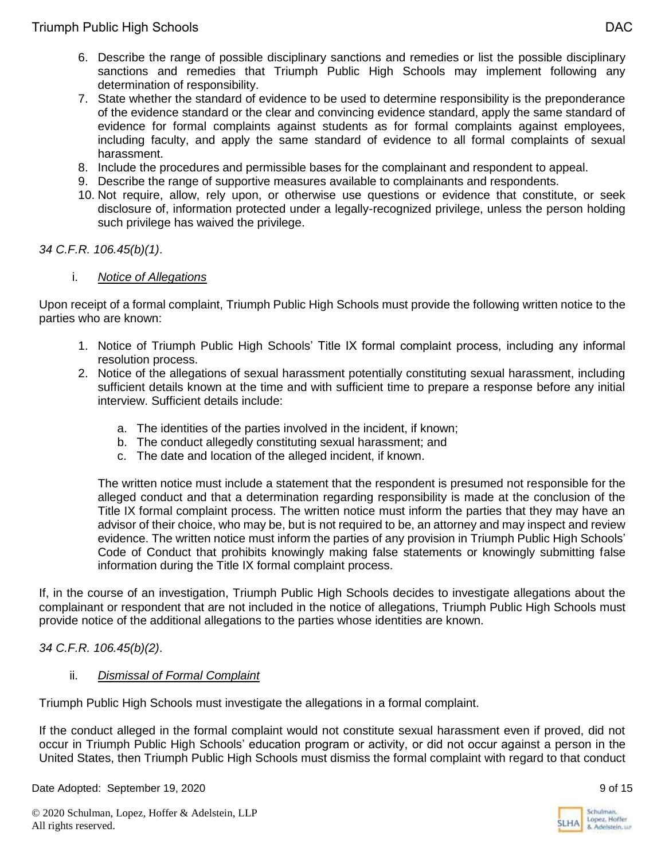- 6. Describe the range of possible disciplinary sanctions and remedies or list the possible disciplinary sanctions and remedies that Triumph Public High Schools may implement following any determination of responsibility.
- 7. State whether the standard of evidence to be used to determine responsibility is the preponderance of the evidence standard or the clear and convincing evidence standard, apply the same standard of evidence for formal complaints against students as for formal complaints against employees, including faculty, and apply the same standard of evidence to all formal complaints of sexual harassment.
- 8. Include the procedures and permissible bases for the complainant and respondent to appeal.
- 9. Describe the range of supportive measures available to complainants and respondents.
- 10. Not require, allow, rely upon, or otherwise use questions or evidence that constitute, or seek disclosure of, information protected under a legally-recognized privilege, unless the person holding such privilege has waived the privilege.

#### *34 C.F.R. 106.45(b)(1)*.

#### i. *Notice of Allegations*

Upon receipt of a formal complaint, Triumph Public High Schools must provide the following written notice to the parties who are known:

- 1. Notice of Triumph Public High Schools' Title IX formal complaint process, including any informal resolution process.
- 2. Notice of the allegations of sexual harassment potentially constituting sexual harassment, including sufficient details known at the time and with sufficient time to prepare a response before any initial interview. Sufficient details include:
	- a. The identities of the parties involved in the incident, if known;
	- b. The conduct allegedly constituting sexual harassment; and
	- c. The date and location of the alleged incident, if known.

The written notice must include a statement that the respondent is presumed not responsible for the alleged conduct and that a determination regarding responsibility is made at the conclusion of the Title IX formal complaint process. The written notice must inform the parties that they may have an advisor of their choice, who may be, but is not required to be, an attorney and may inspect and review evidence. The written notice must inform the parties of any provision in Triumph Public High Schools' Code of Conduct that prohibits knowingly making false statements or knowingly submitting false information during the Title IX formal complaint process.

If, in the course of an investigation, Triumph Public High Schools decides to investigate allegations about the complainant or respondent that are not included in the notice of allegations, Triumph Public High Schools must provide notice of the additional allegations to the parties whose identities are known.

### *34 C.F.R. 106.45(b)(2)*.

#### ii. *Dismissal of Formal Complaint*

Triumph Public High Schools must investigate the allegations in a formal complaint.

If the conduct alleged in the formal complaint would not constitute sexual harassment even if proved, did not occur in Triumph Public High Schools' education program or activity, or did not occur against a person in the United States, then Triumph Public High Schools must dismiss the formal complaint with regard to that conduct

Date Adopted: September 19, 2020 9 of 15

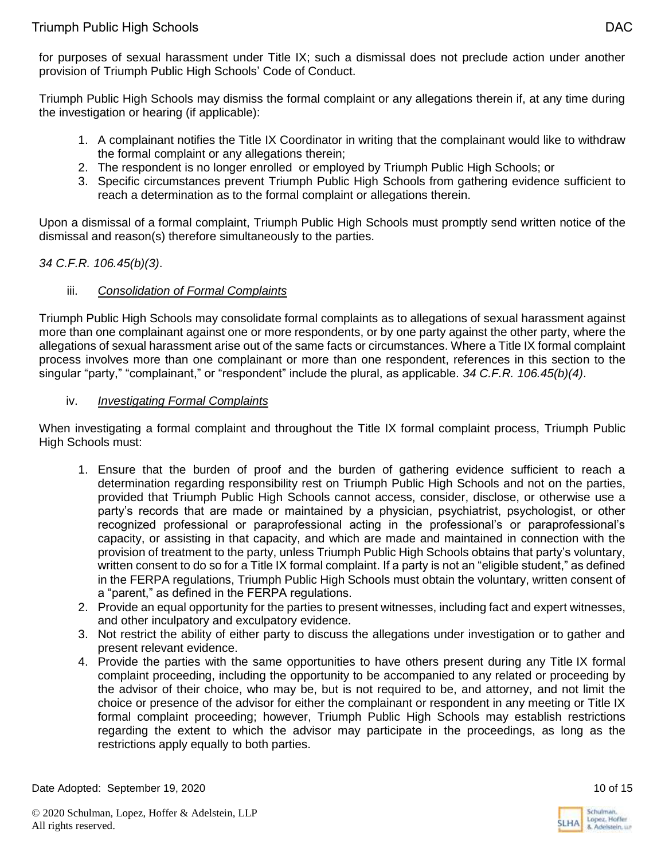for purposes of sexual harassment under Title IX; such a dismissal does not preclude action under another provision of Triumph Public High Schools' Code of Conduct.

Triumph Public High Schools may dismiss the formal complaint or any allegations therein if, at any time during the investigation or hearing (if applicable):

- 1. A complainant notifies the Title IX Coordinator in writing that the complainant would like to withdraw the formal complaint or any allegations therein;
- 2. The respondent is no longer enrolled or employed by Triumph Public High Schools; or
- 3. Specific circumstances prevent Triumph Public High Schools from gathering evidence sufficient to reach a determination as to the formal complaint or allegations therein.

Upon a dismissal of a formal complaint, Triumph Public High Schools must promptly send written notice of the dismissal and reason(s) therefore simultaneously to the parties.

## *34 C.F.R. 106.45(b)(3)*.

## iii. *Consolidation of Formal Complaints*

Triumph Public High Schools may consolidate formal complaints as to allegations of sexual harassment against more than one complainant against one or more respondents, or by one party against the other party, where the allegations of sexual harassment arise out of the same facts or circumstances. Where a Title IX formal complaint process involves more than one complainant or more than one respondent, references in this section to the singular "party," "complainant," or "respondent" include the plural, as applicable. *34 C.F.R. 106.45(b)(4)*.

## iv. *Investigating Formal Complaints*

When investigating a formal complaint and throughout the Title IX formal complaint process, Triumph Public High Schools must:

- 1. Ensure that the burden of proof and the burden of gathering evidence sufficient to reach a determination regarding responsibility rest on Triumph Public High Schools and not on the parties, provided that Triumph Public High Schools cannot access, consider, disclose, or otherwise use a party's records that are made or maintained by a physician, psychiatrist, psychologist, or other recognized professional or paraprofessional acting in the professional's or paraprofessional's capacity, or assisting in that capacity, and which are made and maintained in connection with the provision of treatment to the party, unless Triumph Public High Schools obtains that party's voluntary, written consent to do so for a Title IX formal complaint. If a party is not an "eligible student," as defined in the FERPA regulations, Triumph Public High Schools must obtain the voluntary, written consent of a "parent," as defined in the FERPA regulations.
- 2. Provide an equal opportunity for the parties to present witnesses, including fact and expert witnesses, and other inculpatory and exculpatory evidence.
- 3. Not restrict the ability of either party to discuss the allegations under investigation or to gather and present relevant evidence.
- 4. Provide the parties with the same opportunities to have others present during any Title IX formal complaint proceeding, including the opportunity to be accompanied to any related or proceeding by the advisor of their choice, who may be, but is not required to be, and attorney, and not limit the choice or presence of the advisor for either the complainant or respondent in any meeting or Title IX formal complaint proceeding; however, Triumph Public High Schools may establish restrictions regarding the extent to which the advisor may participate in the proceedings, as long as the restrictions apply equally to both parties.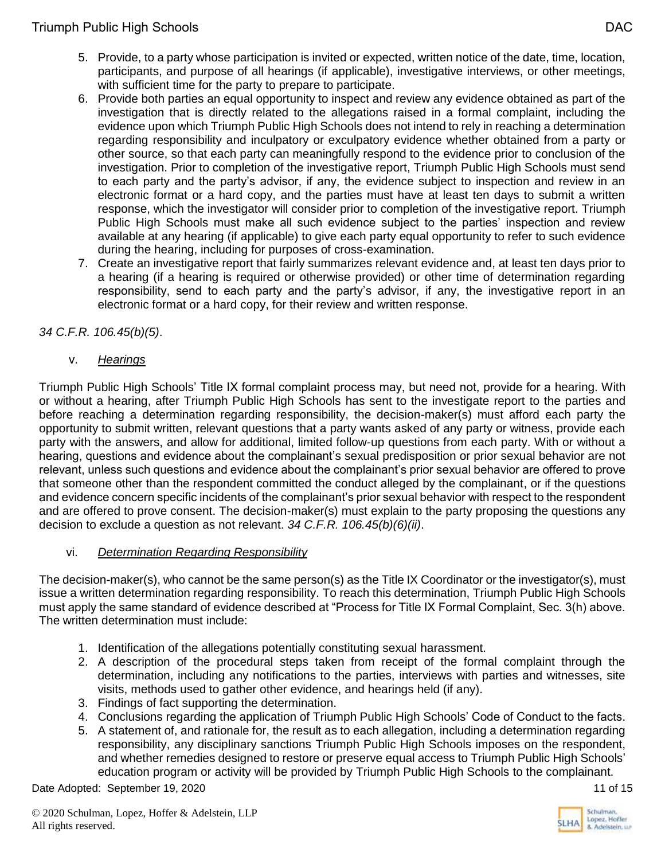- 5. Provide, to a party whose participation is invited or expected, written notice of the date, time, location, participants, and purpose of all hearings (if applicable), investigative interviews, or other meetings, with sufficient time for the party to prepare to participate.
- 6. Provide both parties an equal opportunity to inspect and review any evidence obtained as part of the investigation that is directly related to the allegations raised in a formal complaint, including the evidence upon which Triumph Public High Schools does not intend to rely in reaching a determination regarding responsibility and inculpatory or exculpatory evidence whether obtained from a party or other source, so that each party can meaningfully respond to the evidence prior to conclusion of the investigation. Prior to completion of the investigative report, Triumph Public High Schools must send to each party and the party's advisor, if any, the evidence subject to inspection and review in an electronic format or a hard copy, and the parties must have at least ten days to submit a written response, which the investigator will consider prior to completion of the investigative report. Triumph Public High Schools must make all such evidence subject to the parties' inspection and review available at any hearing (if applicable) to give each party equal opportunity to refer to such evidence during the hearing, including for purposes of cross-examination.
- 7. Create an investigative report that fairly summarizes relevant evidence and, at least ten days prior to a hearing (if a hearing is required or otherwise provided) or other time of determination regarding responsibility, send to each party and the party's advisor, if any, the investigative report in an electronic format or a hard copy, for their review and written response.

*34 C.F.R. 106.45(b)(5)*.

v. *Hearings*

Triumph Public High Schools' Title IX formal complaint process may, but need not, provide for a hearing. With or without a hearing, after Triumph Public High Schools has sent to the investigate report to the parties and before reaching a determination regarding responsibility, the decision-maker(s) must afford each party the opportunity to submit written, relevant questions that a party wants asked of any party or witness, provide each party with the answers, and allow for additional, limited follow-up questions from each party. With or without a hearing, questions and evidence about the complainant's sexual predisposition or prior sexual behavior are not relevant, unless such questions and evidence about the complainant's prior sexual behavior are offered to prove that someone other than the respondent committed the conduct alleged by the complainant, or if the questions and evidence concern specific incidents of the complainant's prior sexual behavior with respect to the respondent and are offered to prove consent. The decision-maker(s) must explain to the party proposing the questions any decision to exclude a question as not relevant. *34 C.F.R. 106.45(b)(6)(ii)*.

## vi. *Determination Regarding Responsibility*

The decision-maker(s), who cannot be the same person(s) as the Title IX Coordinator or the investigator(s), must issue a written determination regarding responsibility. To reach this determination, Triumph Public High Schools must apply the same standard of evidence described at "Process for Title IX Formal Complaint, Sec. 3(h) above. The written determination must include:

- 1. Identification of the allegations potentially constituting sexual harassment.
- 2. A description of the procedural steps taken from receipt of the formal complaint through the determination, including any notifications to the parties, interviews with parties and witnesses, site visits, methods used to gather other evidence, and hearings held (if any).
- 3. Findings of fact supporting the determination.
- 4. Conclusions regarding the application of Triumph Public High Schools' Code of Conduct to the facts.
- 5. A statement of, and rationale for, the result as to each allegation, including a determination regarding responsibility, any disciplinary sanctions Triumph Public High Schools imposes on the respondent, and whether remedies designed to restore or preserve equal access to Triumph Public High Schools' education program or activity will be provided by Triumph Public High Schools to the complainant.

Date Adopted: September 19, 2020 11 of 15



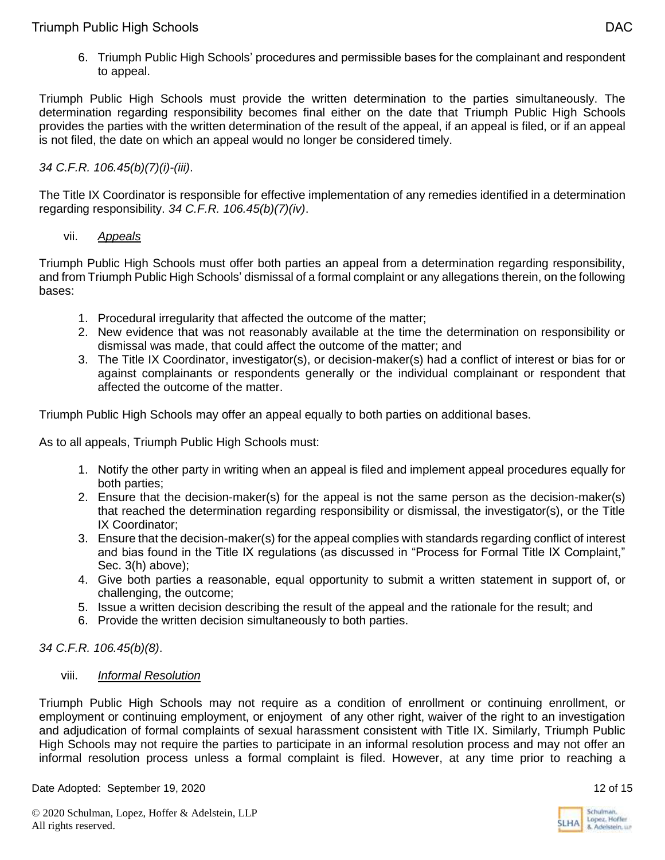6. Triumph Public High Schools' procedures and permissible bases for the complainant and respondent to appeal.

Triumph Public High Schools must provide the written determination to the parties simultaneously. The determination regarding responsibility becomes final either on the date that Triumph Public High Schools provides the parties with the written determination of the result of the appeal, if an appeal is filed, or if an appeal is not filed, the date on which an appeal would no longer be considered timely.

## *34 C.F.R. 106.45(b)(7)(i)-(iii)*.

The Title IX Coordinator is responsible for effective implementation of any remedies identified in a determination regarding responsibility. *34 C.F.R. 106.45(b)(7)(iv)*.

### vii. *Appeals*

Triumph Public High Schools must offer both parties an appeal from a determination regarding responsibility, and from Triumph Public High Schools' dismissal of a formal complaint or any allegations therein, on the following bases:

- 1. Procedural irregularity that affected the outcome of the matter;
- 2. New evidence that was not reasonably available at the time the determination on responsibility or dismissal was made, that could affect the outcome of the matter; and
- 3. The Title IX Coordinator, investigator(s), or decision-maker(s) had a conflict of interest or bias for or against complainants or respondents generally or the individual complainant or respondent that affected the outcome of the matter.

Triumph Public High Schools may offer an appeal equally to both parties on additional bases.

As to all appeals, Triumph Public High Schools must:

- 1. Notify the other party in writing when an appeal is filed and implement appeal procedures equally for both parties;
- 2. Ensure that the decision-maker(s) for the appeal is not the same person as the decision-maker(s) that reached the determination regarding responsibility or dismissal, the investigator(s), or the Title IX Coordinator;
- 3. Ensure that the decision-maker(s) for the appeal complies with standards regarding conflict of interest and bias found in the Title IX regulations (as discussed in "Process for Formal Title IX Complaint," Sec. 3(h) above);
- 4. Give both parties a reasonable, equal opportunity to submit a written statement in support of, or challenging, the outcome;
- 5. Issue a written decision describing the result of the appeal and the rationale for the result; and
- 6. Provide the written decision simultaneously to both parties.

## *34 C.F.R. 106.45(b)(8)*.

### viii. *Informal Resolution*

Triumph Public High Schools may not require as a condition of enrollment or continuing enrollment, or employment or continuing employment, or enjoyment of any other right, waiver of the right to an investigation and adjudication of formal complaints of sexual harassment consistent with Title IX. Similarly, Triumph Public High Schools may not require the parties to participate in an informal resolution process and may not offer an informal resolution process unless a formal complaint is filed. However, at any time prior to reaching a

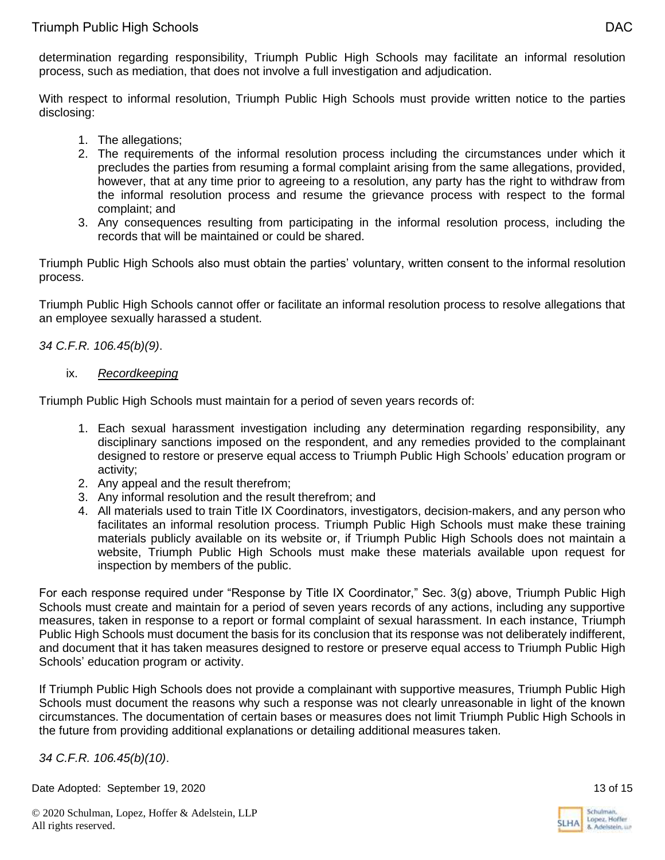determination regarding responsibility, Triumph Public High Schools may facilitate an informal resolution process, such as mediation, that does not involve a full investigation and adjudication.

With respect to informal resolution, Triumph Public High Schools must provide written notice to the parties disclosing:

- 1. The allegations;
- 2. The requirements of the informal resolution process including the circumstances under which it precludes the parties from resuming a formal complaint arising from the same allegations, provided, however, that at any time prior to agreeing to a resolution, any party has the right to withdraw from the informal resolution process and resume the grievance process with respect to the formal complaint; and
- 3. Any consequences resulting from participating in the informal resolution process, including the records that will be maintained or could be shared.

Triumph Public High Schools also must obtain the parties' voluntary, written consent to the informal resolution process.

Triumph Public High Schools cannot offer or facilitate an informal resolution process to resolve allegations that an employee sexually harassed a student.

*34 C.F.R. 106.45(b)(9)*.

ix. *Recordkeeping*

Triumph Public High Schools must maintain for a period of seven years records of:

- 1. Each sexual harassment investigation including any determination regarding responsibility, any disciplinary sanctions imposed on the respondent, and any remedies provided to the complainant designed to restore or preserve equal access to Triumph Public High Schools' education program or activity;
- 2. Any appeal and the result therefrom;
- 3. Any informal resolution and the result therefrom; and
- 4. All materials used to train Title IX Coordinators, investigators, decision-makers, and any person who facilitates an informal resolution process. Triumph Public High Schools must make these training materials publicly available on its website or, if Triumph Public High Schools does not maintain a website, Triumph Public High Schools must make these materials available upon request for inspection by members of the public.

For each response required under "Response by Title IX Coordinator," Sec. 3(g) above, Triumph Public High Schools must create and maintain for a period of seven years records of any actions, including any supportive measures, taken in response to a report or formal complaint of sexual harassment. In each instance, Triumph Public High Schools must document the basis for its conclusion that its response was not deliberately indifferent, and document that it has taken measures designed to restore or preserve equal access to Triumph Public High Schools' education program or activity.

If Triumph Public High Schools does not provide a complainant with supportive measures, Triumph Public High Schools must document the reasons why such a response was not clearly unreasonable in light of the known circumstances. The documentation of certain bases or measures does not limit Triumph Public High Schools in the future from providing additional explanations or detailing additional measures taken.

*34 C.F.R. 106.45(b)(10)*.

Date Adopted: September 19, 2020 13 of 15



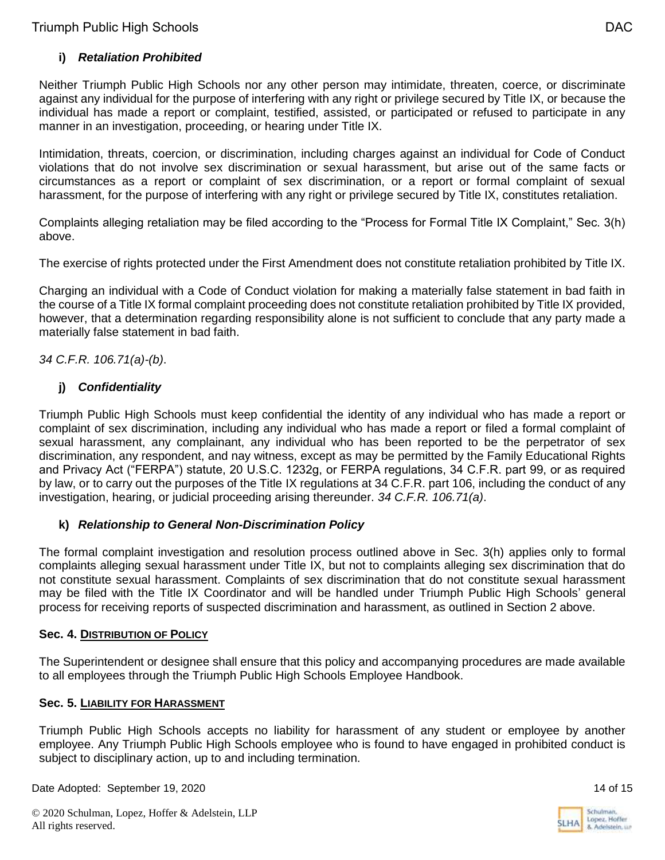## **i)** *Retaliation Prohibited*

Neither Triumph Public High Schools nor any other person may intimidate, threaten, coerce, or discriminate against any individual for the purpose of interfering with any right or privilege secured by Title IX, or because the individual has made a report or complaint, testified, assisted, or participated or refused to participate in any manner in an investigation, proceeding, or hearing under Title IX.

Intimidation, threats, coercion, or discrimination, including charges against an individual for Code of Conduct violations that do not involve sex discrimination or sexual harassment, but arise out of the same facts or circumstances as a report or complaint of sex discrimination, or a report or formal complaint of sexual harassment, for the purpose of interfering with any right or privilege secured by Title IX, constitutes retaliation.

Complaints alleging retaliation may be filed according to the "Process for Formal Title IX Complaint," Sec. 3(h) above.

The exercise of rights protected under the First Amendment does not constitute retaliation prohibited by Title IX.

Charging an individual with a Code of Conduct violation for making a materially false statement in bad faith in the course of a Title IX formal complaint proceeding does not constitute retaliation prohibited by Title IX provided, however, that a determination regarding responsibility alone is not sufficient to conclude that any party made a materially false statement in bad faith.

### *34 C.F.R. 106.71(a)-(b)*.

### **j)** *Confidentiality*

Triumph Public High Schools must keep confidential the identity of any individual who has made a report or complaint of sex discrimination, including any individual who has made a report or filed a formal complaint of sexual harassment, any complainant, any individual who has been reported to be the perpetrator of sex discrimination, any respondent, and nay witness, except as may be permitted by the Family Educational Rights and Privacy Act ("FERPA") statute, 20 U.S.C. 1232g, or FERPA regulations, 34 C.F.R. part 99, or as required by law, or to carry out the purposes of the Title IX regulations at 34 C.F.R. part 106, including the conduct of any investigation, hearing, or judicial proceeding arising thereunder. *34 C.F.R. 106.71(a)*.

## **k)** *Relationship to General Non-Discrimination Policy*

The formal complaint investigation and resolution process outlined above in Sec. 3(h) applies only to formal complaints alleging sexual harassment under Title IX, but not to complaints alleging sex discrimination that do not constitute sexual harassment. Complaints of sex discrimination that do not constitute sexual harassment may be filed with the Title IX Coordinator and will be handled under Triumph Public High Schools' general process for receiving reports of suspected discrimination and harassment, as outlined in Section 2 above.

### **Sec. 4. DISTRIBUTION OF POLICY**

The Superintendent or designee shall ensure that this policy and accompanying procedures are made available to all employees through the Triumph Public High Schools Employee Handbook.

### **Sec. 5. LIABILITY FOR HARASSMENT**

Triumph Public High Schools accepts no liability for harassment of any student or employee by another employee. Any Triumph Public High Schools employee who is found to have engaged in prohibited conduct is subject to disciplinary action, up to and including termination.

Date Adopted: September 19, 2020 14 of 15